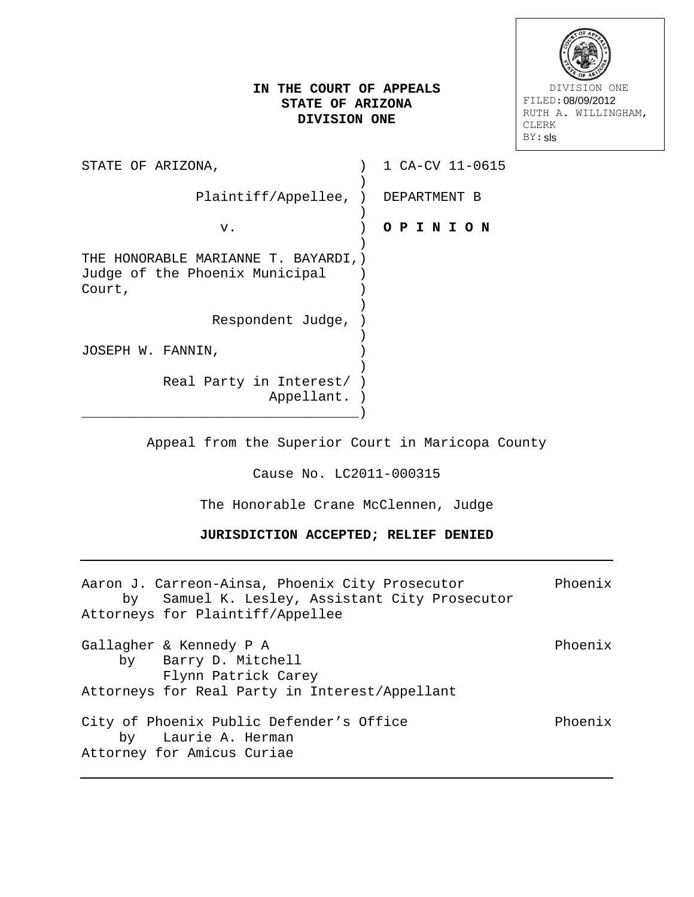# **IN THE COURT OF APPEALS STATE OF ARIZONA DIVISION ONE**

 DIVISION ONE FILED: 08/09/2012 RUTH A. WILLINGHAM, CLERK BY: sls

| STATE OF ARIZONA,                                                                | 1 CA-CV 11-0615                    |
|----------------------------------------------------------------------------------|------------------------------------|
|                                                                                  | Plaintiff/Appellee, ) DEPARTMENT B |
| v.                                                                               | O P I N I O N                      |
| THE HONORABLE MARIANNE T. BAYARDI, )<br>Judge of the Phoenix Municipal<br>Court, |                                    |
|                                                                                  | Respondent Judge, )                |
| JOSEPH W. FANNIN,                                                                |                                    |
| Real Party in Interest/)                                                         | Appellant. )                       |

Appeal from the Superior Court in Maricopa County

Cause No. LC2011-000315

The Honorable Crane McClennen, Judge

**JURISDICTION ACCEPTED; RELIEF DENIED**

Aaron J. Carreon-Ainsa, Phoenix City Prosecutor Phoenix by Samuel K. Lesley, Assistant City Prosecutor Attorneys for Plaintiff/Appellee Gallagher & Kennedy P A Phoenix<br>
by Barry D. Mitchell Barry D. Mitchell Flynn Patrick Carey Attorneys for Real Party in Interest/Appellant City of Phoenix Public Defender's Office Thomas Phoenix by Laurie A. Herman Attorney for Amicus Curiae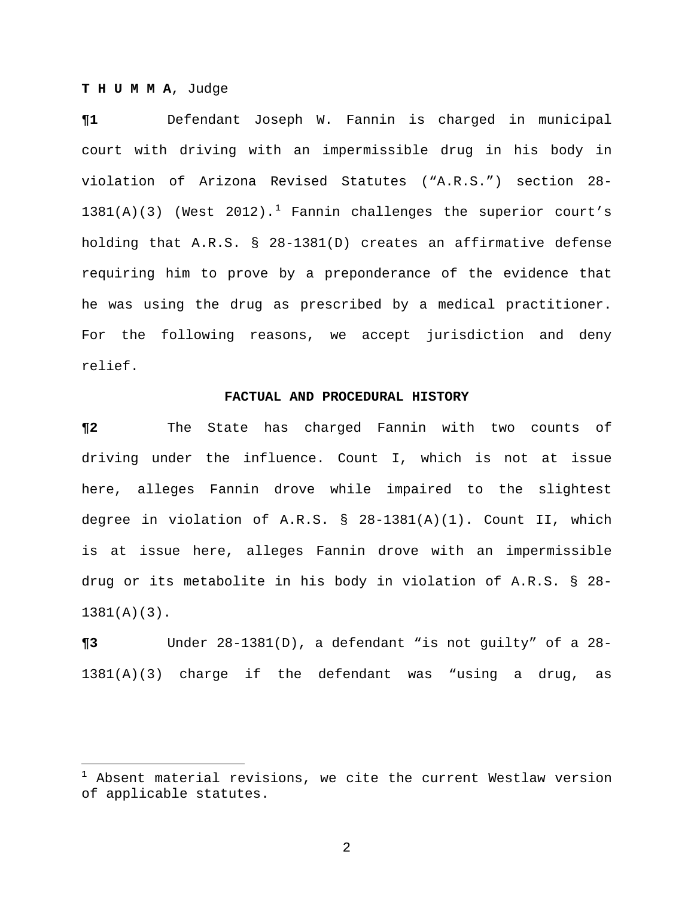## **T H U M M A**, Judge

<span id="page-1-0"></span> $\overline{a}$ 

**¶1** Defendant Joseph W. Fannin is charged in municipal court with driving with an impermissible drug in his body in violation of Arizona Revised Statutes ("A.R.S.") section 28-  $1381(A)(3)$  $1381(A)(3)$  (West  $2012)$ .<sup>1</sup> Fannin challenges the superior court's holding that A.R.S. § 28-1381(D) creates an affirmative defense requiring him to prove by a preponderance of the evidence that he was using the drug as prescribed by a medical practitioner. For the following reasons, we accept jurisdiction and deny relief.

## **FACTUAL AND PROCEDURAL HISTORY**

**¶2** The State has charged Fannin with two counts of driving under the influence. Count I, which is not at issue here, alleges Fannin drove while impaired to the slightest degree in violation of A.R.S. § 28-1381(A)(1). Count II, which is at issue here, alleges Fannin drove with an impermissible drug or its metabolite in his body in violation of A.R.S. § 28- 1381(A)(3).

**¶3** Under 28-1381(D), a defendant "is not guilty" of a 28- 1381(A)(3) charge if the defendant was "using a drug, as

<sup>&</sup>lt;sup>1</sup> Absent material revisions, we cite the current Westlaw version of applicable statutes.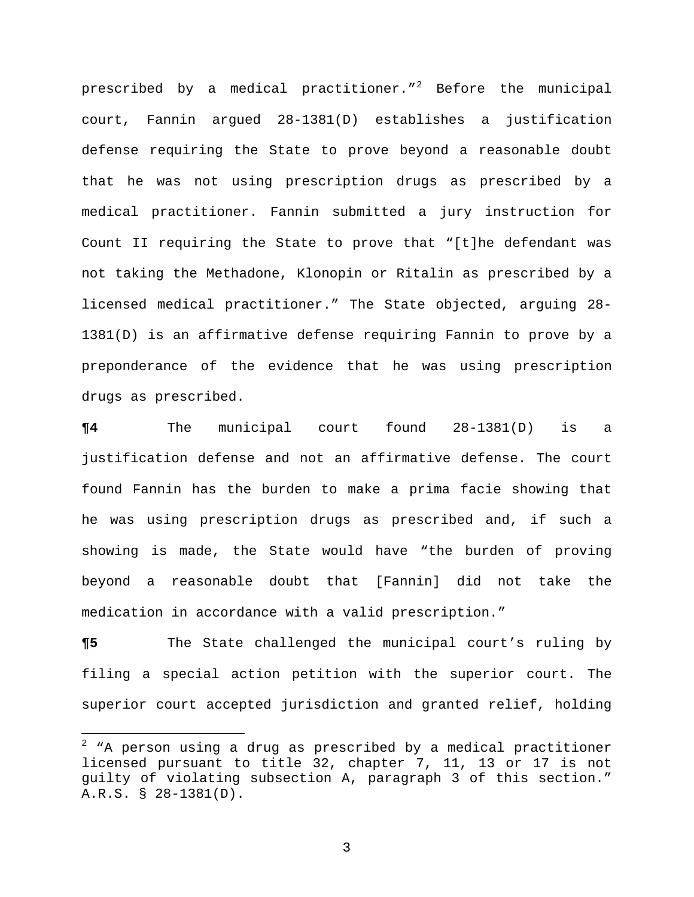prescribed by a medical practitioner."<sup>[2](#page-2-0)</sup> Before the municipal court, Fannin argued 28-1381(D) establishes a justification defense requiring the State to prove beyond a reasonable doubt that he was not using prescription drugs as prescribed by a medical practitioner. Fannin submitted a jury instruction for Count II requiring the State to prove that "[t]he defendant was not taking the Methadone, Klonopin or Ritalin as prescribed by a licensed medical practitioner." The State objected, arguing 28- 1381(D) is an affirmative defense requiring Fannin to prove by a preponderance of the evidence that he was using prescription drugs as prescribed.

**¶4** The municipal court found 28-1381(D) is a justification defense and not an affirmative defense. The court found Fannin has the burden to make a prima facie showing that he was using prescription drugs as prescribed and, if such a showing is made, the State would have "the burden of proving beyond a reasonable doubt that [Fannin] did not take the medication in accordance with a valid prescription."

**¶5** The State challenged the municipal court's ruling by filing a special action petition with the superior court. The superior court accepted jurisdiction and granted relief, holding

 $\overline{a}$ 

<span id="page-2-0"></span> $2$  "A person using a drug as prescribed by a medical practitioner licensed pursuant to title 32, chapter 7, 11, 13 or 17 is not guilty of violating subsection A, paragraph 3 of this section." A.R.S. § 28-1381(D).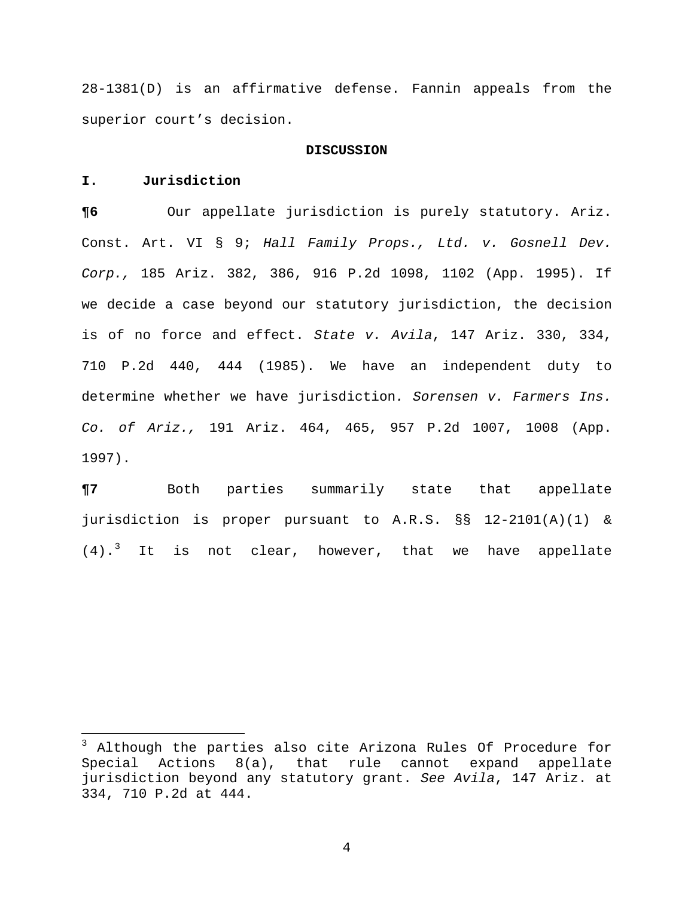28-1381(D) is an affirmative defense. Fannin appeals from the superior court's decision.

#### **DISCUSSION**

# **I. Jurisdiction**

 $\overline{a}$ 

**¶6** Our appellate jurisdiction is purely statutory. Ariz. Const. Art. VI § 9; *Hall Family Props., Ltd. v. Gosnell Dev. Corp.,* 185 Ariz. 382, 386, 916 P.2d 1098, 1102 (App. 1995). If we decide a case beyond our statutory jurisdiction, the decision is of no force and effect. *State v. Avila*, 147 Ariz. 330, 334, 710 P.2d 440, 444 (1985). We have an independent duty to determine whether we have jurisdiction*. Sorensen v. Farmers Ins. Co. of Ariz.,* 191 Ariz. 464, 465, 957 P.2d 1007, 1008 (App. 1997).

**¶7** Both parties summarily state that appellate jurisdiction is proper pursuant to A.R.S. §§ 12-2101(A)(1) &  $(4).$ <sup>[3](#page-3-0)</sup> It is not clear, however, that we have appellate

<span id="page-3-0"></span><sup>&</sup>lt;sup>3</sup> Although the parties also cite Arizona Rules Of Procedure for Special Actions 8(a), that rule cannot expand appellate jurisdiction beyond any statutory grant. *See Avila*, 147 Ariz. at 334, 710 P.2d at 444.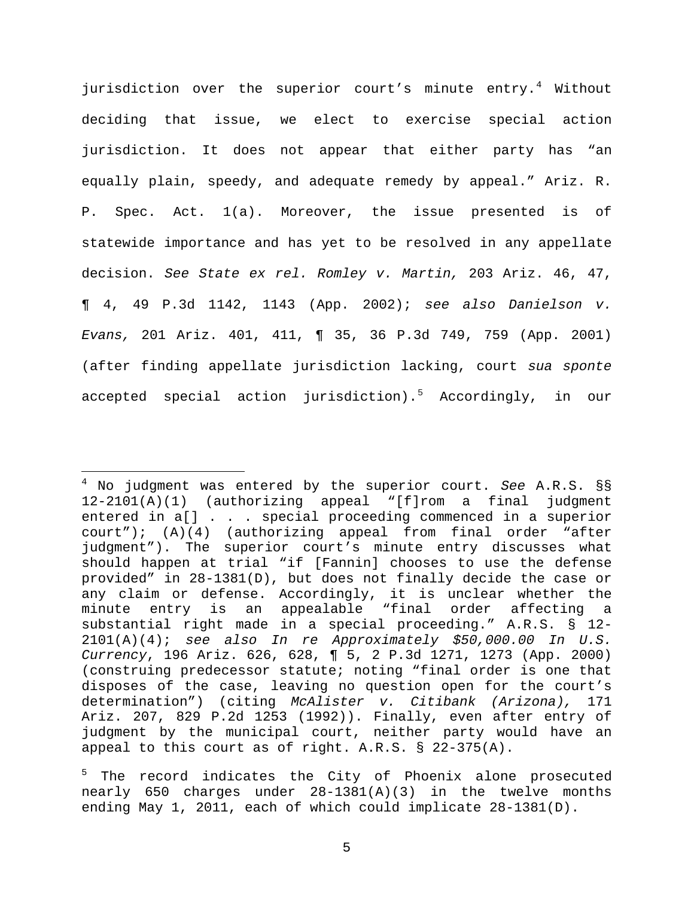jurisdiction over the superior court's minute entry.<sup>[4](#page-4-0)</sup> Without *[State ex rel. Romley v. Martin,](http://web2.westlaw.com/find/default.wl?mt=Arizona&db=4645&stid=%7b9d5c2785-c6a8-404e-81c5-a7ea3f7350db%7d&tc=-1&rp=%2ffind%2fdefault.wl&findtype=Y&ordoc=2015666230&serialnum=2002457535&vr=2.0&fn=_top&sv=Split&tf=-1&referencepositiontype=S&pbc=3DBD2BF5&referenceposition=1143&rs=WLW12.04)* 203 Ariz. 46, 47, decision. *See*  [¶ 4, 49 P.3d 1142, 1143 \(App.](http://web2.westlaw.com/find/default.wl?mt=Arizona&db=4645&stid=%7b9d5c2785-c6a8-404e-81c5-a7ea3f7350db%7d&tc=-1&rp=%2ffind%2fdefault.wl&findtype=Y&ordoc=2015666230&serialnum=2002457535&vr=2.0&fn=_top&sv=Split&tf=-1&referencepositiontype=S&pbc=3DBD2BF5&referenceposition=1143&rs=WLW12.04) 2002) ; *[see also Danielson v.](http://web2.westlaw.com/find/default.wl?mt=Arizona&db=4645&stid=%7b9d5c2785-c6a8-404e-81c5-a7ea3f7350db%7d&tc=-1&rp=%2ffind%2fdefault.wl&findtype=Y&ordoc=2021094350&serialnum=2001565149&vr=2.0&fn=_top&sv=Split&tf=-1&referencepositiontype=S&pbc=AD471232&referenceposition=759&rs=WLW12.04)*  deciding that issue, we elect to exercise special action jurisdiction. It does not appear that either party has "an equally plain, speedy, and adequate remedy by appeal." Ariz. R. P. Spec. Act. 1(a). Moreover, the issue presented is of statewide importance and has yet to be resolved in any appellate *Evans,* [201 Ariz. 401, 411, ¶ 35, 36 P.3d 749, 759 \(App. 2001\)](http://web2.westlaw.com/find/default.wl?mt=Arizona&db=4645&stid=%7b9d5c2785-c6a8-404e-81c5-a7ea3f7350db%7d&tc=-1&rp=%2ffind%2fdefault.wl&findtype=Y&ordoc=2021094350&serialnum=2001565149&vr=2.0&fn=_top&sv=Split&tf=-1&referencepositiontype=S&pbc=AD471232&referenceposition=759&rs=WLW12.04) (after finding appellate jurisdiction lacking, court *sua sponte* accepted special action jurisdiction).<sup>[5](#page-4-1)</sup> Accordingly, in our

<span id="page-4-0"></span> $\overline{a}$ <sup>4</sup> No judgment was entered by the superior court. *See* A.R.S. §§ 12-2101(A)(1) (authorizing appeal "[f]rom a final judgment entered in a[] . . . special proceeding commenced in a superior court"); (A)(4) (authorizing appeal from final order "after judgment"). The superior court's minute entry discusses what should happen at trial "if [Fannin] chooses to use the defense provided" in 28-1381(D), but does not finally decide the case or any claim or defense. Accordingly, it is unclear whether the minute entry is an appealable "final order affecting a substantial right made in a special proceeding." A.R.S. § 12- 2101(A)(4); *see also In re Approximately \$50,000.00 In U.S. Currency*, 196 Ariz. 626, 628, ¶ 5, 2 P.3d 1271, 1273 (App. 2000) (construing predecessor statute; noting "final order is one that disposes of the case, leaving no question open for the court's determination") (citing *[McAlister v. Citibank \(Arizona\),](http://web2.westlaw.com/find/default.wl?mt=Arizona&db=661&stid=%7b9d5c2785-c6a8-404e-81c5-a7ea3f7350db%7d&tc=-1&rp=%2ffind%2fdefault.wl&findtype=Y&ordoc=2000363581&serialnum=1992075959&vr=2.0&fn=_top&sv=Split&tf=-1&pbc=8592348D&rs=WLW12.04)* 171 [Ariz. 207, 829 P.2d](http://web2.westlaw.com/find/default.wl?mt=Arizona&db=661&stid=%7b9d5c2785-c6a8-404e-81c5-a7ea3f7350db%7d&tc=-1&rp=%2ffind%2fdefault.wl&findtype=Y&ordoc=2000363581&serialnum=1992075959&vr=2.0&fn=_top&sv=Split&tf=-1&pbc=8592348D&rs=WLW12.04) 1253 (1992)). Finally, even after entry of judgment by the municipal court, neither party would have an appeal to this court as of right. A.R.S. § 22-375(A).

<span id="page-4-1"></span><sup>&</sup>lt;sup>5</sup> The record indicates the City of Phoenix alone prosecuted nearly 650 charges under 28-1381(A)(3) in the twelve months ending May 1, 2011, each of which could implicate 28-1381(D).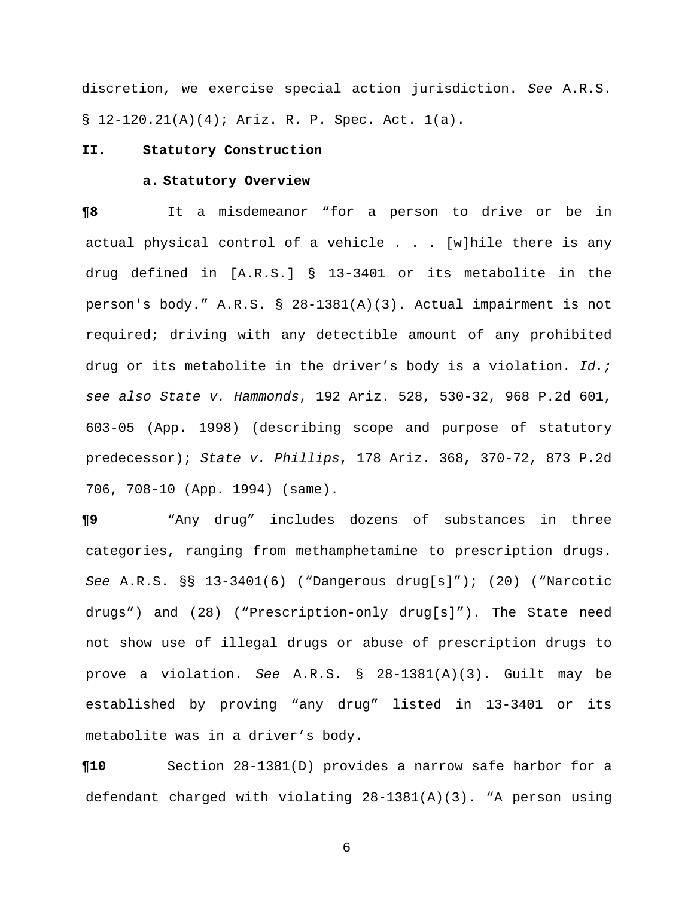discretion, we exercise special action jurisdiction. *See* A.R.S. § 12-120.21(A)(4); Ariz. R. P. Spec. Act. 1(a).

## **II. Statutory Construction**

### **a. Statutory Overview**

**¶8** It a misdemeanor "for a person to drive or be in actual physical control of a vehicle . . . [w]hile there is any drug defined in [A.R.S.] § 13-3401 or its metabolite in the person's body." A.R.S. § 28-1381(A)(3). Actual impairment is not required; driving with any detectible amount of any prohibited drug or its metabolite in the driver's body is a violation. *Id.; see also State v. Hammonds*, 192 Ariz. 528, 530-32, 968 P.2d 601, 603-05 (App. 1998) (describing scope and purpose of statutory predecessor); *State v. Phillips*, 178 Ariz. 368, 370-72, 873 P.2d 706, 708-10 (App. 1994) (same).

**¶9** "Any drug" includes dozens of substances in three categories, ranging from methamphetamine to prescription drugs. *See* A.R.S. §§ 13-3401(6) ("Dangerous drug[s]"); (20) ("Narcotic drugs") and (28) ("Prescription-only drug[s]"). The State need not show use of illegal drugs or abuse of prescription drugs to prove a violation. *See* A.R.S. § 28-1381(A)(3). Guilt may be established by proving "any drug" listed in 13-3401 or its metabolite was in a driver's body.

**¶10** Section 28-1381(D) provides a narrow safe harbor for a defendant charged with violating 28-1381(A)(3). "A person using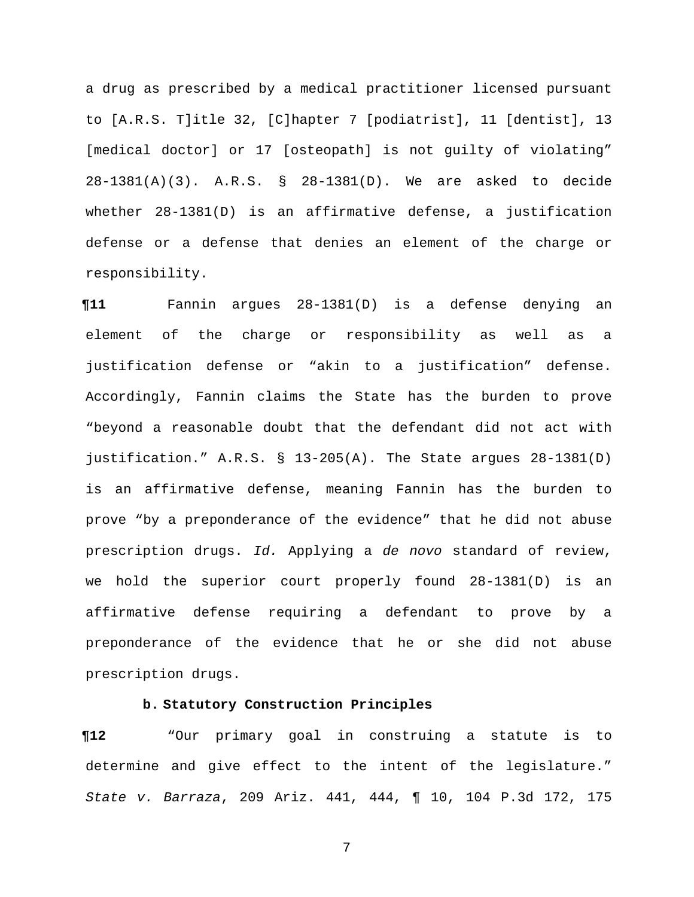a drug as prescribed by a medical practitioner licensed pursuant to [A.R.S. T]itle 32, [C]hapter 7 [podiatrist], 11 [dentist], 13 [medical doctor] or 17 [osteopath] is not guilty of violating" 28-1381(A)(3). A.R.S. § 28-1381(D). We are asked to decide whether 28-1381(D) is an affirmative defense, a justification defense or a defense that denies an element of the charge or responsibility.

**¶11** Fannin argues 28-1381(D) is a defense denying an element of the charge or responsibility as well as a justification defense or "akin to a justification" defense. Accordingly, Fannin claims the State has the burden to prove "beyond a reasonable doubt that the defendant did not act with justification." A.R.S. § 13-205(A). The State argues 28-1381(D) is an affirmative defense, meaning Fannin has the burden to prove "by a preponderance of the evidence" that he did not abuse prescription drugs. *Id.* Applying a *de novo* standard of review, we hold the superior court properly found 28-1381(D) is an affirmative defense requiring a defendant to prove by a preponderance of the evidence that he or she did not abuse prescription drugs.

## **b. Statutory Construction Principles**

**¶12** "Our primary goal in construing a statute is to determine and give effect to the intent of the legislature." *State v. Barraza*, 209 Ariz. 441, 444, ¶ 10, 104 P.3d 172, 175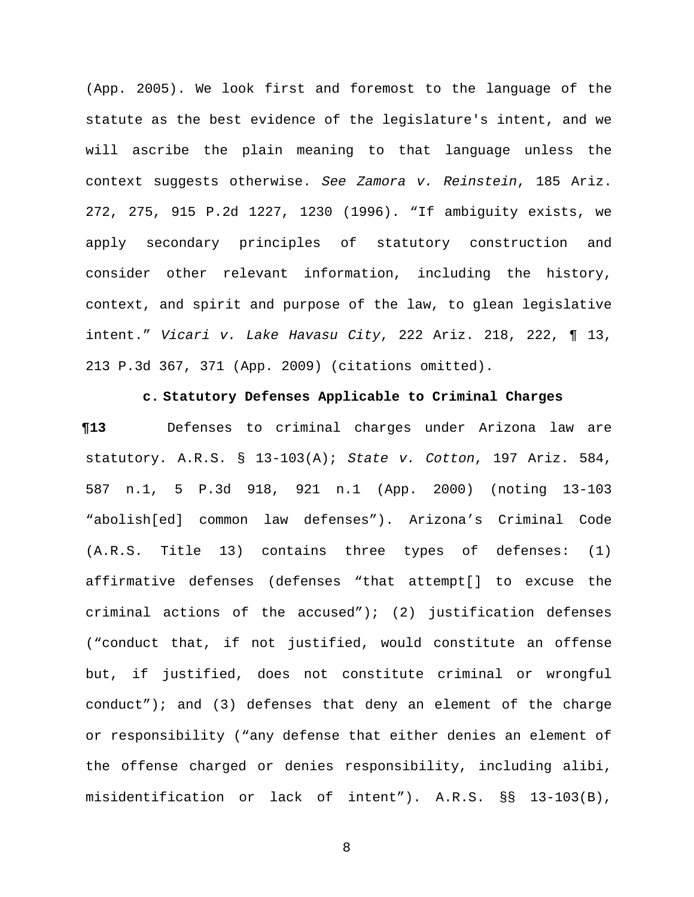(App. 2005). We look first and foremost to the language of the statute as the best evidence of the legislature's intent, and we will ascribe the plain meaning to that language unless the context suggests otherwise. *See Zamora v. Reinstein*, 185 Ariz. 272, 275, 915 P.2d 1227, 1230 (1996). "If ambiguity exists, we apply secondary principles of statutory construction and consider other relevant information, including the history, context, and spirit and purpose of the law, to glean legislative intent." *Vicari v. Lake Havasu City*, 222 Ariz. 218, 222, ¶ 13, 213 P.3d 367, 371 (App. 2009) (citations omitted).

#### **c. Statutory Defenses Applicable to Criminal Charges**

**¶13** Defenses to criminal charges under Arizona law are statutory. A.R.S. § 13-103(A); *State v. Cotton*, 197 Ariz. 584, 587 n.1, 5 P.3d 918, 921 n.1 (App. 2000) (noting 13-103 "abolish[ed] common law defenses"). Arizona's Criminal Code (A.R.S. Title 13) contains three types of defenses: (1) affirmative defenses (defenses "that attempt[] to excuse the criminal actions of the accused"); (2) justification defenses ("conduct that, if not justified, would constitute an offense but, if justified, does not constitute criminal or wrongful conduct"); and (3) defenses that deny an element of the charge or responsibility ("any defense that either denies an element of the offense charged or denies responsibility, including alibi, misidentification or lack of intent"). A.R.S. §§ 13-103(B),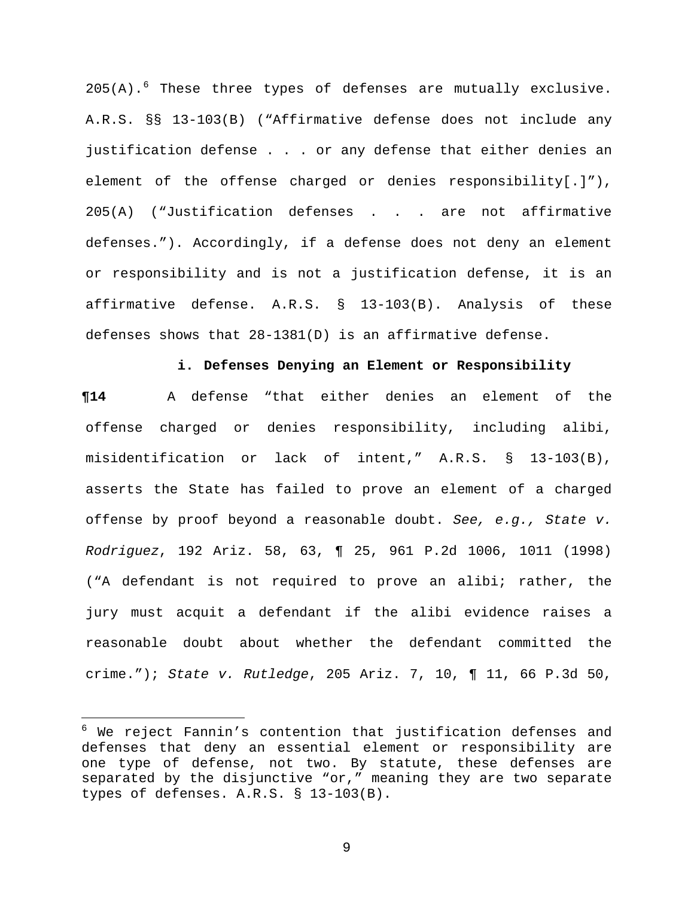$205(A)$ . These three types of defenses are mutually exclusive. A.R.S. §§ 13-103(B) ("Affirmative defense does not include any justification defense . . . or any defense that either denies an element of the offense charged or denies responsibility[.]"), 205(A) ("Justification defenses . . . are not affirmative defenses."). Accordingly, if a defense does not deny an element or responsibility and is not a justification defense, it is an affirmative defense. A.R.S. § 13-103(B). Analysis of these defenses shows that 28-1381(D) is an affirmative defense.

### **i. Defenses Denying an Element or Responsibility**

**¶14** A defense "that either denies an element of the offense charged or denies responsibility, including alibi, misidentification or lack of intent," A.R.S. § 13-103(B), asserts the State has failed to prove an element of a charged offense by proof beyond a reasonable doubt. *See, e.g., State v. Rodriguez*, 192 Ariz. 58, 63, ¶ 25, 961 P.2d 1006, 1011 (1998) ("A defendant is not required to prove an alibi; rather, the jury must acquit a defendant if the alibi evidence raises a reasonable doubt about whether the defendant committed the crime."); *State v. Rutledge*, 205 Ariz. 7, 10, ¶ 11, 66 P.3d 50,

<span id="page-8-0"></span> $\frac{1}{2}$  $^6$  We reject Fannin's contention that justification defenses and defenses that deny an essential element or responsibility are one type of defense, not two. By statute, these defenses are separated by the disjunctive "or," meaning they are two separate types of defenses. A.R.S. § 13-103(B).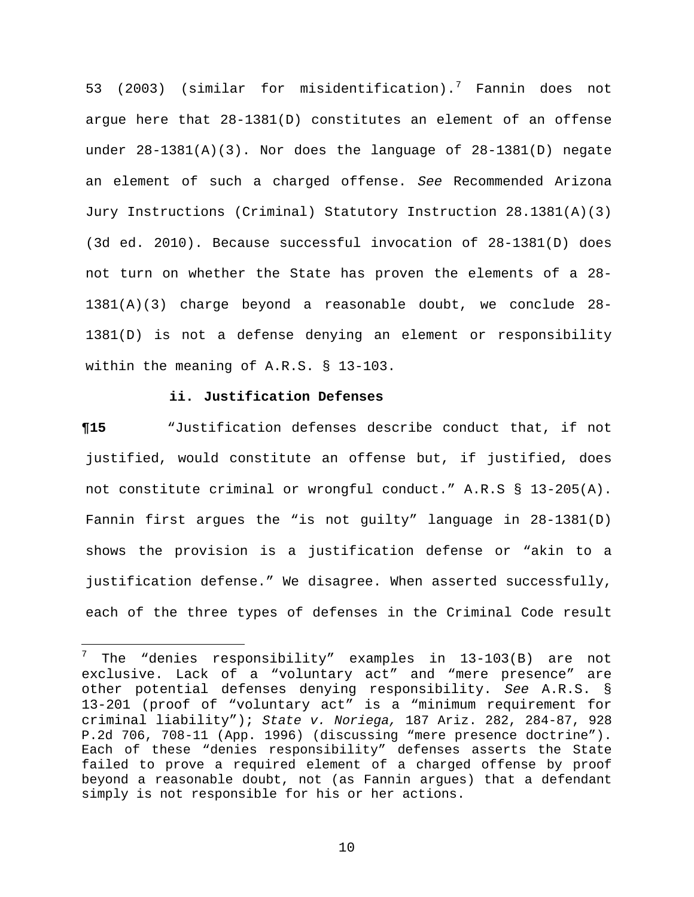53 (2003) (similar for misidentification).[7](#page-9-0) Fannin does not argue here that 28-1381(D) constitutes an element of an offense under  $28-1381(A)(3)$ . Nor does the language of  $28-1381(D)$  negate an element of such a charged offense. *See* Recommended Arizona Jury Instructions (Criminal) Statutory Instruction 28.1381(A)(3) (3d ed. 2010). Because successful invocation of 28-1381(D) does not turn on whether the State has proven the elements of a 28- 1381(A)(3) charge beyond a reasonable doubt, we conclude 28- 1381(D) is not a defense denying an element or responsibility within the meaning of A.R.S. § 13-103.

### **ii. Justification Defenses**

**¶15** "Justification defenses describe conduct that, if not justified, would constitute an offense but, if justified, does not constitute criminal or wrongful conduct." A.R.S § 13-205(A). Fannin first argues the "is not guilty" language in 28-1381(D) shows the provision is a justification defense or "akin to a justification defense." We disagree. When asserted successfully, each of the three types of defenses in the Criminal Code result

<span id="page-9-0"></span> $7<sub>1</sub>$ <sup>7</sup> The "denies responsibility" examples in 13-103(B) are not exclusive. Lack of a "voluntary act" and "mere presence" are other potential defenses denying responsibility. *See* A.R.S. § 13-201 (proof of "voluntary act" is a "minimum requirement for criminal liability"); *State v. Noriega,* 187 Ariz. 282, 284-87, 928 P.2d 706, 708-11 (App. 1996) (discussing "mere presence doctrine"). Each of these "denies responsibility" defenses asserts the State failed to prove a required element of a charged offense by proof beyond a reasonable doubt, not (as Fannin argues) that a defendant simply is not responsible for his or her actions.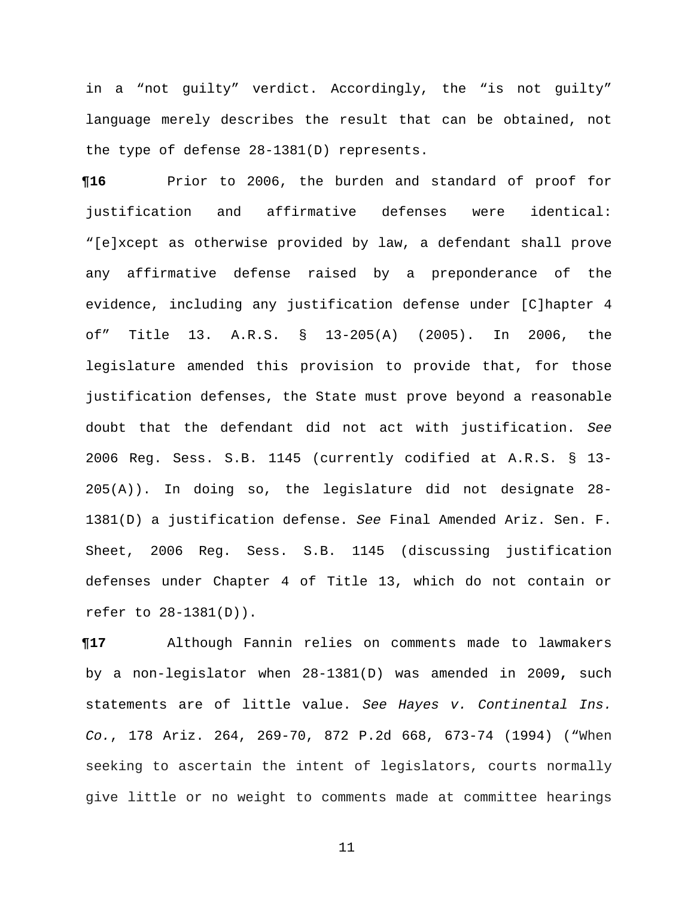in a "not guilty" verdict. Accordingly, the "is not guilty" language merely describes the result that can be obtained, not the type of defense 28-1381(D) represents.

**¶16** Prior to 2006, the burden and standard of proof for justification and affirmative defenses were identical: "[e]xcept as otherwise provided by law, a defendant shall prove any affirmative defense raised by a preponderance of the evidence, including any justification defense under [C]hapter 4 of" Title 13. A.R.S. § 13-205(A) (2005). In 2006, the legislature amended this provision to provide that, for those justification defenses, the State must prove beyond a reasonable doubt that the defendant did not act with justification. *See*  2006 Reg. Sess. S.B. 1145 (currently codified at A.R.S. § 13- 205(A)). In doing so, the legislature did not designate 28- 1381(D) a justification defense. *See* Final Amended Ariz. Sen. F. Sheet, 2006 Reg. Sess. S.B. 1145 (discussing justification defenses under Chapter 4 of Title 13, which do not contain or refer to 28-1381(D)).

**¶17** Although Fannin relies on comments made to lawmakers by a non-legislator when 28-1381(D) was amended in 2009**,** such statements are of little value. *See Hayes v. Continental Ins. Co.*, 178 Ariz. 264, 269-70, 872 P.2d 668, 673-74 (1994) ("When seeking to ascertain the intent of legislators, courts normally give little or no weight to comments made at committee hearings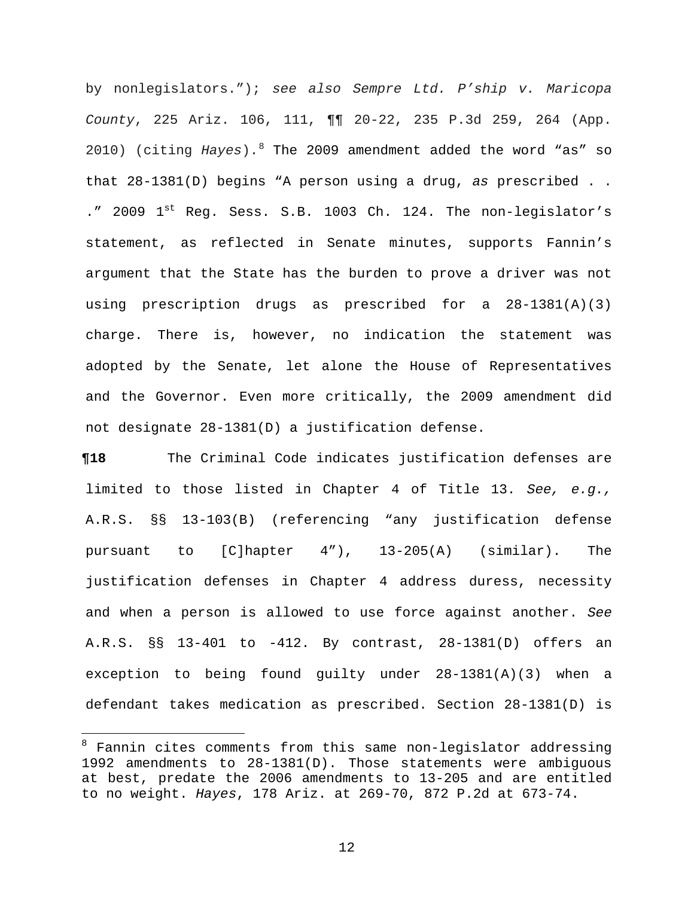by nonlegislators."); *see also Sempre Ltd. P'ship v. Maricopa County*, 225 Ariz. 106, 111, ¶¶ 20-22, 235 P.3d 259, 264 (App. 2010) (citing *Hayes*).[8](#page-11-0) The 2009 amendment added the word "as" so that 28-1381(D) begins "A person using a drug, *as* prescribed . . ." 2009 1st Reg. Sess. S.B. 1003 Ch. 124. The non-legislator's statement, as reflected in Senate minutes, supports Fannin's argument that the State has the burden to prove a driver was not using prescription drugs as prescribed for a 28-1381(A)(3) charge. There is, however, no indication the statement was adopted by the Senate, let alone the House of Representatives and the Governor. Even more critically, the 2009 amendment did not designate 28-1381(D) a justification defense.

**¶18** The Criminal Code indicates justification defenses are limited to those listed in Chapter 4 of Title 13. *See, e.g.,* A.R.S. §§ 13-103(B) (referencing "any justification defense pursuant to [C]hapter 4"), 13-205(A) (similar). The justification defenses in Chapter 4 address duress, necessity and when a person is allowed to use force against another. *See* A.R.S. §§ 13-401 to -412. By contrast, 28-1381(D) offers an exception to being found guilty under 28-1381(A)(3) when a defendant takes medication as prescribed. Section 28-1381(D) is

 $\overline{a}$ 

<span id="page-11-0"></span><sup>&</sup>lt;sup>8</sup> Fannin cites comments from this same non-legislator addressing 1992 amendments to 28-1381(D). Those statements were ambiguous at best, predate the 2006 amendments to 13-205 and are entitled to no weight. *Hayes*, 178 Ariz. at 269-70, 872 P.2d at 673-74.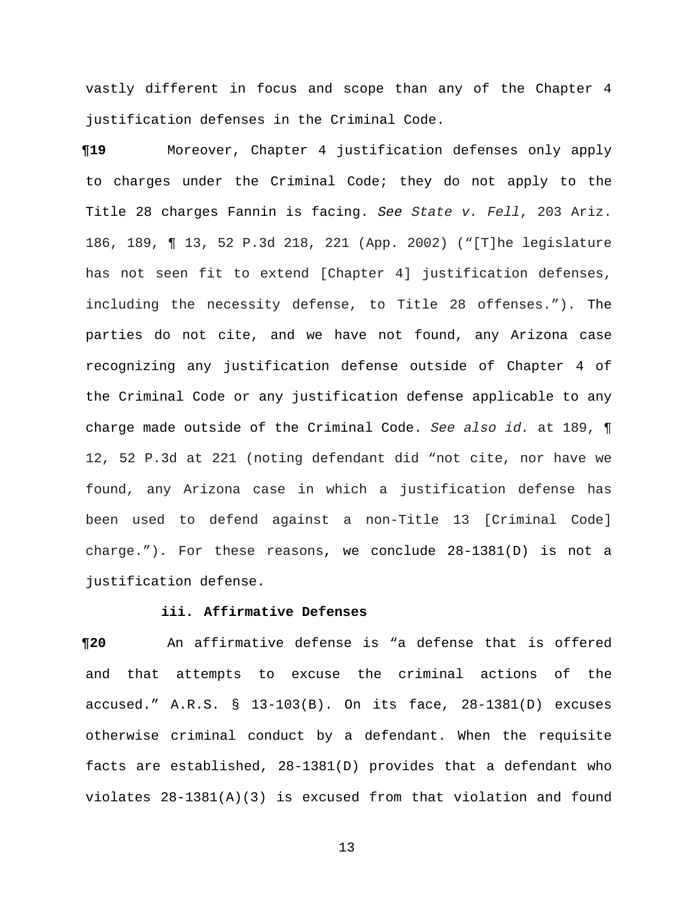vastly different in focus and scope than any of the Chapter 4 justification defenses in the Criminal Code.

**¶19** Moreover, Chapter 4 justification defenses only apply to charges under the Criminal Code; they do not apply to the Title 28 charges Fannin is facing. *See State v. Fell*, 203 Ariz. 186, 189, ¶ 13, 52 P.3d 218, 221 (App. 2002) ("[T]he legislature has not seen fit to extend [Chapter 4] justification defenses, including the necessity defense, to Title 28 offenses."). The parties do not cite, and we have not found, any Arizona case recognizing any justification defense outside of Chapter 4 of the Criminal Code or any justification defense applicable to any charge made outside of the Criminal Code. *See also id.* at 189, ¶ 12, 52 P.3d at 221 (noting defendant did "not cite, nor have we found, any Arizona case in which a justification defense has been used to defend against a non-Title 13 [Criminal Code] charge."). For these reasons, we conclude  $28-1381(D)$  is not a justification defense.

## **iii. Affirmative Defenses**

**¶20** An affirmative defense is "a defense that is offered and that attempts to excuse the criminal actions of the accused." A.R.S. § 13-103(B). On its face, 28-1381(D) excuses otherwise criminal conduct by a defendant. When the requisite facts are established, 28-1381(D) provides that a defendant who violates 28-1381(A)(3) is excused from that violation and found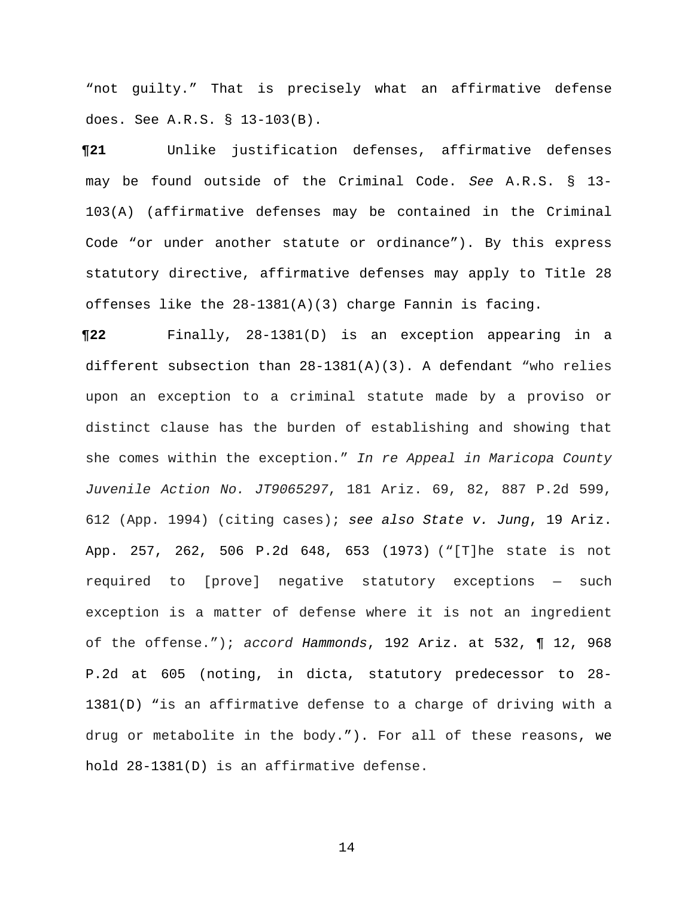"not guilty." That is precisely what an affirmative defense does. See A.R.S. § 13-103(B).

**¶21** Unlike justification defenses, affirmative defenses may be found outside of the Criminal Code. *See* A.R.S. § 13- 103(A) (affirmative defenses may be contained in the Criminal Code "or under another statute or ordinance"). By this express statutory directive, affirmative defenses may apply to Title 28 offenses like the 28-1381(A)(3) charge Fannin is facing.

**¶22** Finally, 28-1381(D) is an exception appearing in a different subsection than  $28-1381(A)(3)$ . A defendant "who relies upon an exception to a criminal statute made by a proviso or distinct clause has the burden of establishing and showing that she comes within the exception." *In re Appeal in Maricopa County Juvenile Action No. JT9065297*, 181 Ariz. 69, 82, 887 P.2d 599, 612 (App. 1994) (citing cases); *see also State v. Jung*, 19 Ariz. App. 257, 262, 506 P.2d 648, 653 (1973) ("[T]he state is not required to [prove] negative statutory exceptions — such exception is a matter of defense where it is not an ingredient of the offense."); *accord Hammonds*, 192 Ariz. at 532, ¶ 12, 968 P.2d at 605 (noting, in dicta, statutory predecessor to 28- 1381(D) "is an affirmative defense to a charge of driving with a drug or metabolite in the body."). For all of these reasons, we hold 28-1381(D) is an affirmative defense.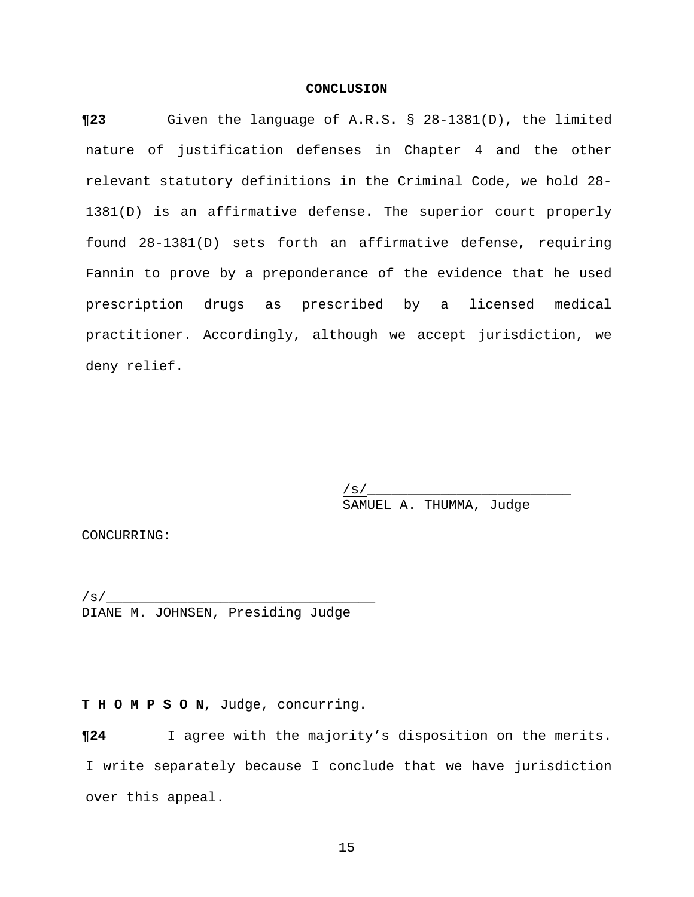#### **CONCLUSION**

**¶23** Given the language of A.R.S. § 28-1381(D), the limited nature of justification defenses in Chapter 4 and the other relevant statutory definitions in the Criminal Code, we hold 28- 1381(D) is an affirmative defense. The superior court properly found 28-1381(D) sets forth an affirmative defense, requiring Fannin to prove by a preponderance of the evidence that he used prescription drugs as prescribed by a licensed medical practitioner. Accordingly, although we accept jurisdiction, we deny relief.

> $/$  s  $/$   $\_\_$ SAMUEL A. THUMMA, Judge

CONCURRING:

/s/\_\_\_\_\_\_\_\_\_\_\_\_\_\_\_\_\_\_\_\_\_\_\_\_\_\_\_\_\_\_\_\_\_ DIANE M. JOHNSEN, Presiding Judge

**T H O M P S O N**, Judge, concurring.

**¶24** I agree with the majority's disposition on the merits. I write separately because I conclude that we have jurisdiction over this appeal.